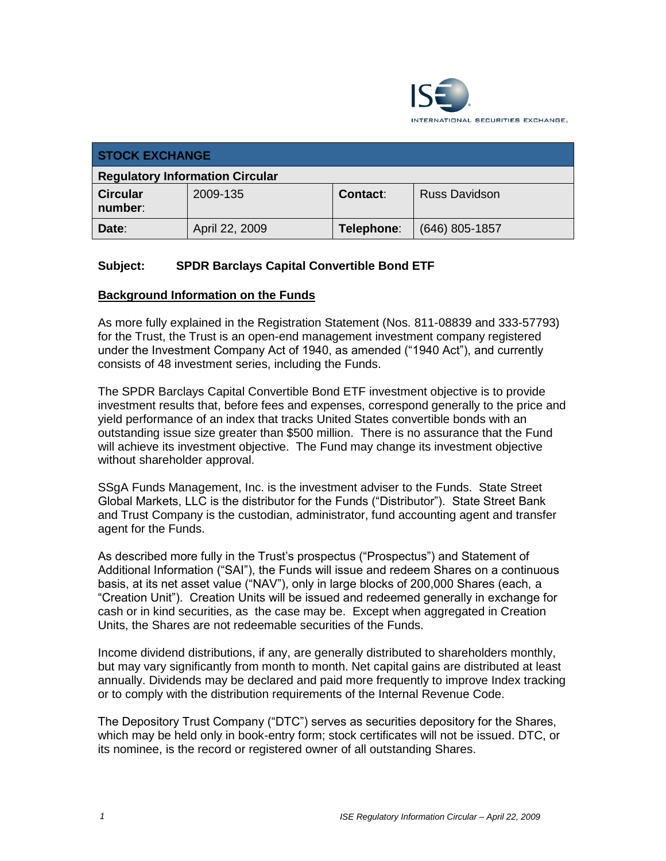

| <b>STOCK EXCHANGE</b>                  |                |                 |                      |
|----------------------------------------|----------------|-----------------|----------------------|
| <b>Regulatory Information Circular</b> |                |                 |                      |
| <b>Circular</b><br>number:             | 2009-135       | <b>Contact:</b> | <b>Russ Davidson</b> |
| Date:                                  | April 22, 2009 | Telephone:      | $(646)$ 805-1857     |

# **Subject: SPDR Barclays Capital Convertible Bond ETF**

#### **Background Information on the Funds**

As more fully explained in the Registration Statement (Nos. 811-08839 and 333-57793) for the Trust, the Trust is an open-end management investment company registered under the Investment Company Act of 1940, as amended ("1940 Act"), and currently consists of 48 investment series, including the Funds.

The SPDR Barclays Capital Convertible Bond ETF investment objective is to provide investment results that, before fees and expenses, correspond generally to the price and yield performance of an index that tracks United States convertible bonds with an outstanding issue size greater than \$500 million. There is no assurance that the Fund will achieve its investment objective. The Fund may change its investment objective without shareholder approval.

SSgA Funds Management, Inc. is the investment adviser to the Funds. State Street Global Markets, LLC is the distributor for the Funds ("Distributor"). State Street Bank and Trust Company is the custodian, administrator, fund accounting agent and transfer agent for the Funds.

As described more fully in the Trust's prospectus ("Prospectus") and Statement of Additional Information ("SAI"), the Funds will issue and redeem Shares on a continuous basis, at its net asset value ("NAV"), only in large blocks of 200,000 Shares (each, a "Creation Unit"). Creation Units will be issued and redeemed generally in exchange for cash or in kind securities, as the case may be. Except when aggregated in Creation Units, the Shares are not redeemable securities of the Funds.

Income dividend distributions, if any, are generally distributed to shareholders monthly, but may vary significantly from month to month. Net capital gains are distributed at least annually. Dividends may be declared and paid more frequently to improve Index tracking or to comply with the distribution requirements of the Internal Revenue Code.

The Depository Trust Company ("DTC") serves as securities depository for the Shares, which may be held only in book-entry form; stock certificates will not be issued. DTC, or its nominee, is the record or registered owner of all outstanding Shares.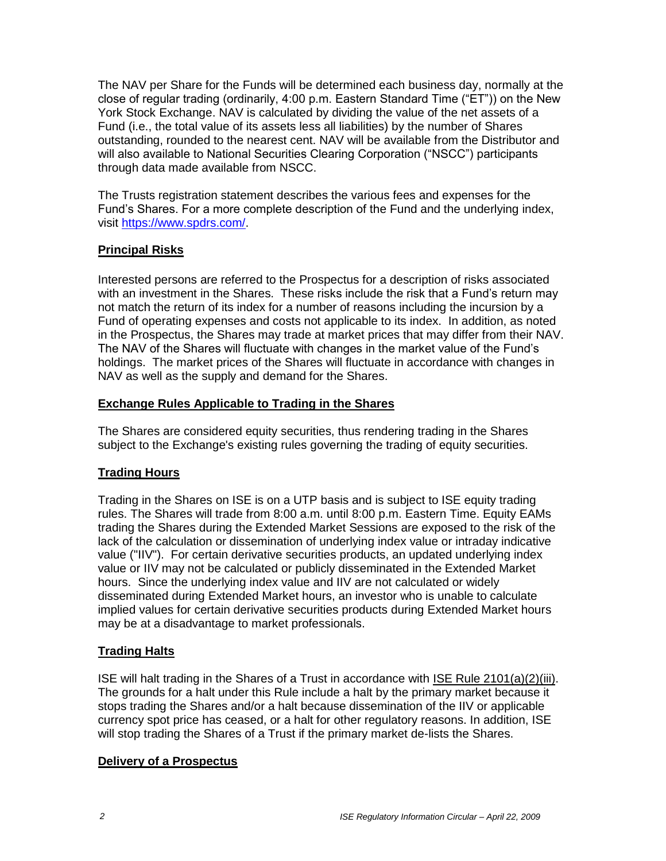The NAV per Share for the Funds will be determined each business day, normally at the close of regular trading (ordinarily, 4:00 p.m. Eastern Standard Time ("ET")) on the New York Stock Exchange. NAV is calculated by dividing the value of the net assets of a Fund (i.e., the total value of its assets less all liabilities) by the number of Shares outstanding, rounded to the nearest cent. NAV will be available from the Distributor and will also available to National Securities Clearing Corporation ("NSCC") participants through data made available from NSCC.

The Trusts registration statement describes the various fees and expenses for the Fund's Shares. For a more complete description of the Fund and the underlying index, visit [https://www.spdrs.com/.](https://www.spdrs.com/)

# **Principal Risks**

Interested persons are referred to the Prospectus for a description of risks associated with an investment in the Shares. These risks include the risk that a Fund's return may not match the return of its index for a number of reasons including the incursion by a Fund of operating expenses and costs not applicable to its index. In addition, as noted in the Prospectus, the Shares may trade at market prices that may differ from their NAV. The NAV of the Shares will fluctuate with changes in the market value of the Fund's holdings. The market prices of the Shares will fluctuate in accordance with changes in NAV as well as the supply and demand for the Shares.

# **Exchange Rules Applicable to Trading in the Shares**

The Shares are considered equity securities, thus rendering trading in the Shares subject to the Exchange's existing rules governing the trading of equity securities.

# **Trading Hours**

Trading in the Shares on ISE is on a UTP basis and is subject to ISE equity trading rules. The Shares will trade from 8:00 a.m. until 8:00 p.m. Eastern Time. Equity EAMs trading the Shares during the Extended Market Sessions are exposed to the risk of the lack of the calculation or dissemination of underlying index value or intraday indicative value ("IIV"). For certain derivative securities products, an updated underlying index value or IIV may not be calculated or publicly disseminated in the Extended Market hours. Since the underlying index value and IIV are not calculated or widely disseminated during Extended Market hours, an investor who is unable to calculate implied values for certain derivative securities products during Extended Market hours may be at a disadvantage to market professionals.

# **Trading Halts**

ISE will halt trading in the Shares of a Trust in accordance with ISE Rule 2101(a)(2)(iii). The grounds for a halt under this Rule include a halt by the primary market because it stops trading the Shares and/or a halt because dissemination of the IIV or applicable currency spot price has ceased, or a halt for other regulatory reasons. In addition, ISE will stop trading the Shares of a Trust if the primary market de-lists the Shares.

#### **Delivery of a Prospectus**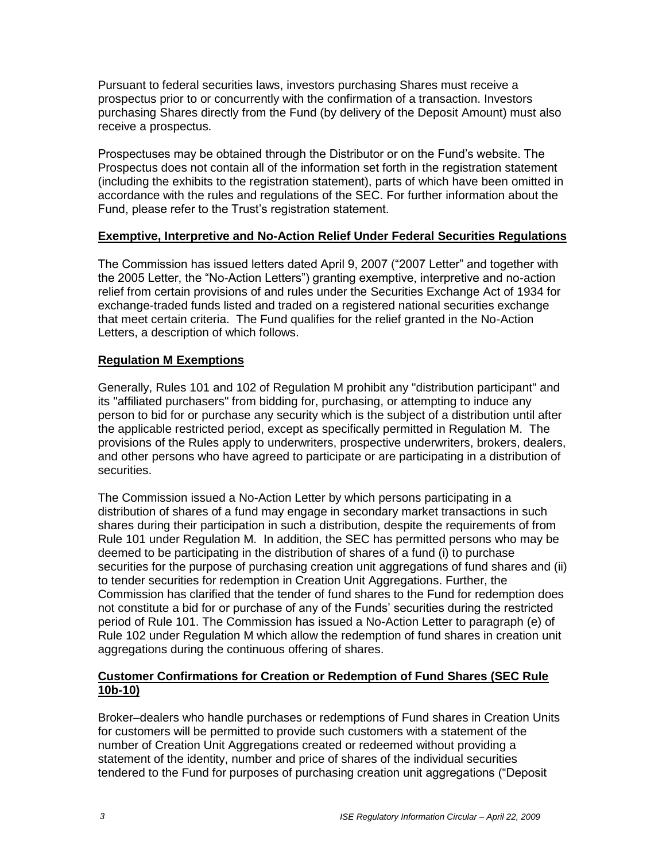Pursuant to federal securities laws, investors purchasing Shares must receive a prospectus prior to or concurrently with the confirmation of a transaction. Investors purchasing Shares directly from the Fund (by delivery of the Deposit Amount) must also receive a prospectus.

Prospectuses may be obtained through the Distributor or on the Fund's website. The Prospectus does not contain all of the information set forth in the registration statement (including the exhibits to the registration statement), parts of which have been omitted in accordance with the rules and regulations of the SEC. For further information about the Fund, please refer to the Trust's registration statement.

#### **Exemptive, Interpretive and No-Action Relief Under Federal Securities Regulations**

The Commission has issued letters dated April 9, 2007 ("2007 Letter" and together with the 2005 Letter, the "No-Action Letters") granting exemptive, interpretive and no-action relief from certain provisions of and rules under the Securities Exchange Act of 1934 for exchange-traded funds listed and traded on a registered national securities exchange that meet certain criteria. The Fund qualifies for the relief granted in the No-Action Letters, a description of which follows.

#### **Regulation M Exemptions**

Generally, Rules 101 and 102 of Regulation M prohibit any "distribution participant" and its "affiliated purchasers" from bidding for, purchasing, or attempting to induce any person to bid for or purchase any security which is the subject of a distribution until after the applicable restricted period, except as specifically permitted in Regulation M. The provisions of the Rules apply to underwriters, prospective underwriters, brokers, dealers, and other persons who have agreed to participate or are participating in a distribution of securities.

The Commission issued a No-Action Letter by which persons participating in a distribution of shares of a fund may engage in secondary market transactions in such shares during their participation in such a distribution, despite the requirements of from Rule 101 under Regulation M. In addition, the SEC has permitted persons who may be deemed to be participating in the distribution of shares of a fund (i) to purchase securities for the purpose of purchasing creation unit aggregations of fund shares and (ii) to tender securities for redemption in Creation Unit Aggregations. Further, the Commission has clarified that the tender of fund shares to the Fund for redemption does not constitute a bid for or purchase of any of the Funds' securities during the restricted period of Rule 101. The Commission has issued a No-Action Letter to paragraph (e) of Rule 102 under Regulation M which allow the redemption of fund shares in creation unit aggregations during the continuous offering of shares.

# **Customer Confirmations for Creation or Redemption of Fund Shares (SEC Rule 10b-10)**

Broker–dealers who handle purchases or redemptions of Fund shares in Creation Units for customers will be permitted to provide such customers with a statement of the number of Creation Unit Aggregations created or redeemed without providing a statement of the identity, number and price of shares of the individual securities tendered to the Fund for purposes of purchasing creation unit aggregations ("Deposit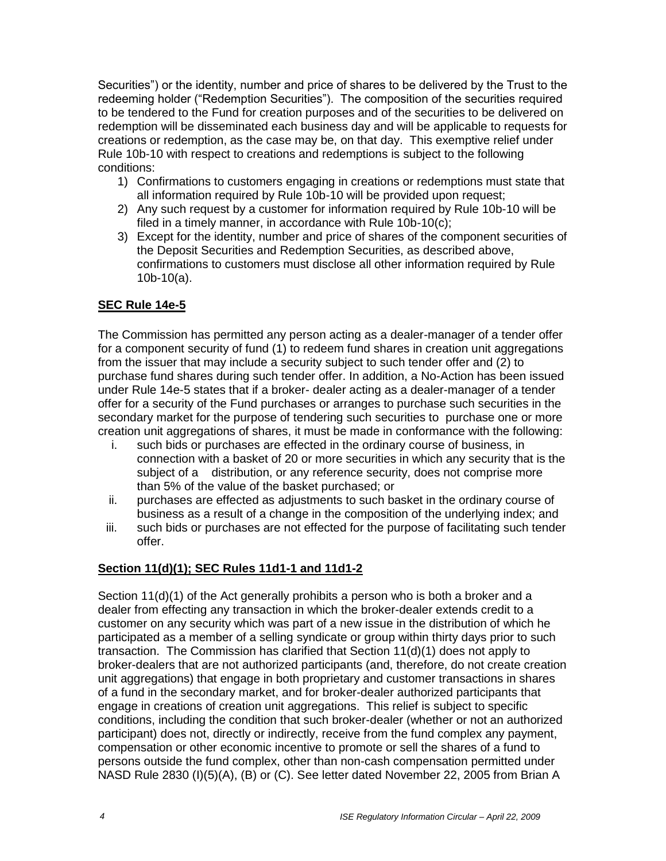Securities") or the identity, number and price of shares to be delivered by the Trust to the redeeming holder ("Redemption Securities"). The composition of the securities required to be tendered to the Fund for creation purposes and of the securities to be delivered on redemption will be disseminated each business day and will be applicable to requests for creations or redemption, as the case may be, on that day. This exemptive relief under Rule 10b-10 with respect to creations and redemptions is subject to the following conditions:

- 1) Confirmations to customers engaging in creations or redemptions must state that all information required by Rule 10b-10 will be provided upon request;
- 2) Any such request by a customer for information required by Rule 10b-10 will be filed in a timely manner, in accordance with Rule 10b-10(c);
- 3) Except for the identity, number and price of shares of the component securities of the Deposit Securities and Redemption Securities, as described above, confirmations to customers must disclose all other information required by Rule 10b-10(a).

# **SEC Rule 14e-5**

The Commission has permitted any person acting as a dealer-manager of a tender offer for a component security of fund (1) to redeem fund shares in creation unit aggregations from the issuer that may include a security subject to such tender offer and (2) to purchase fund shares during such tender offer. In addition, a No-Action has been issued under Rule 14e-5 states that if a broker- dealer acting as a dealer-manager of a tender offer for a security of the Fund purchases or arranges to purchase such securities in the secondary market for the purpose of tendering such securities to purchase one or more creation unit aggregations of shares, it must be made in conformance with the following:

- i. such bids or purchases are effected in the ordinary course of business, in connection with a basket of 20 or more securities in which any security that is the subject of a distribution, or any reference security, does not comprise more than 5% of the value of the basket purchased; or
- ii. purchases are effected as adjustments to such basket in the ordinary course of business as a result of a change in the composition of the underlying index; and
- iii. such bids or purchases are not effected for the purpose of facilitating such tender offer.

# **Section 11(d)(1); SEC Rules 11d1-1 and 11d1-2**

Section 11(d)(1) of the Act generally prohibits a person who is both a broker and a dealer from effecting any transaction in which the broker-dealer extends credit to a customer on any security which was part of a new issue in the distribution of which he participated as a member of a selling syndicate or group within thirty days prior to such transaction. The Commission has clarified that Section 11(d)(1) does not apply to broker-dealers that are not authorized participants (and, therefore, do not create creation unit aggregations) that engage in both proprietary and customer transactions in shares of a fund in the secondary market, and for broker-dealer authorized participants that engage in creations of creation unit aggregations. This relief is subject to specific conditions, including the condition that such broker-dealer (whether or not an authorized participant) does not, directly or indirectly, receive from the fund complex any payment, compensation or other economic incentive to promote or sell the shares of a fund to persons outside the fund complex, other than non-cash compensation permitted under NASD Rule 2830 (I)(5)(A), (B) or (C). See letter dated November 22, 2005 from Brian A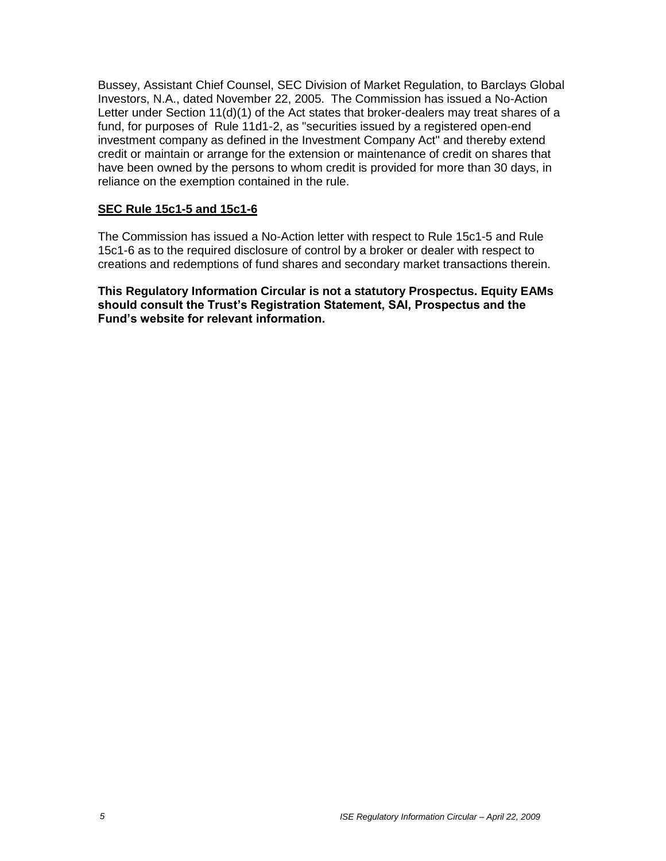Bussey, Assistant Chief Counsel, SEC Division of Market Regulation, to Barclays Global Investors, N.A., dated November 22, 2005. The Commission has issued a No-Action Letter under Section 11(d)(1) of the Act states that broker-dealers may treat shares of a fund, for purposes of Rule 11d1-2, as "securities issued by a registered open-end investment company as defined in the Investment Company Act" and thereby extend credit or maintain or arrange for the extension or maintenance of credit on shares that have been owned by the persons to whom credit is provided for more than 30 days, in reliance on the exemption contained in the rule.

#### **SEC Rule 15c1-5 and 15c1-6**

The Commission has issued a No-Action letter with respect to Rule 15c1-5 and Rule 15c1-6 as to the required disclosure of control by a broker or dealer with respect to creations and redemptions of fund shares and secondary market transactions therein.

**This Regulatory Information Circular is not a statutory Prospectus. Equity EAMs should consult the Trust's Registration Statement, SAI, Prospectus and the Fund's website for relevant information.**